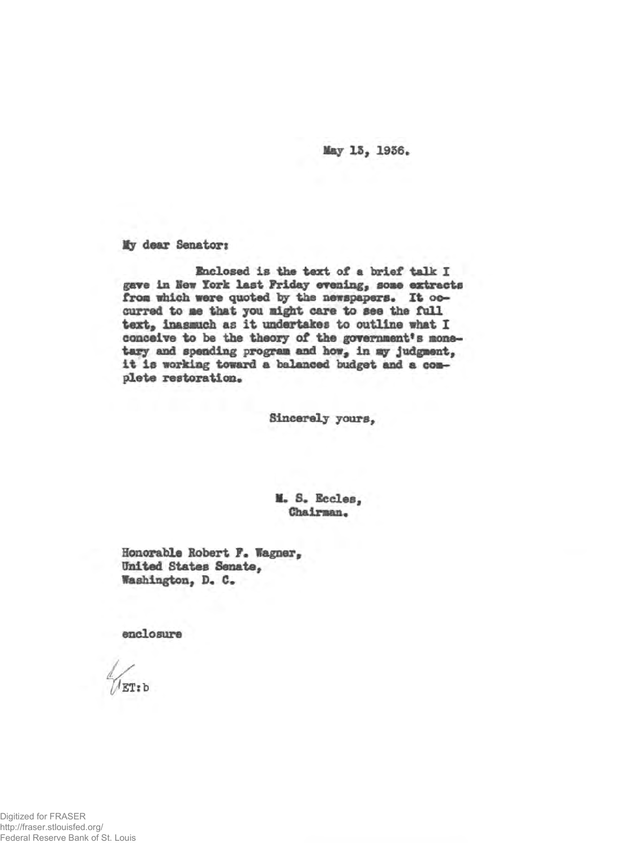May 13, 1936.

*My* **dear Senators**

**Enclosed is the text of a brief talk I gave in Kew** *York* **last Friday evening, aose extracts** from which were quoted by the newspapers. It occurred to me that you might care to see the full **teat, inasmuch as it undertakes to outline what I** conceive to be the theory of the government's mone**tary and spending program and how, in my judgment, it is working toward a balanced budget and a complete restoration.**

**Sincerely yours,**

**X\* S. Eccles, Chairman.**

**Honorable Robert F. Wagner, United States Senate, Washington, D« C.**

**enclosure**

ET:b